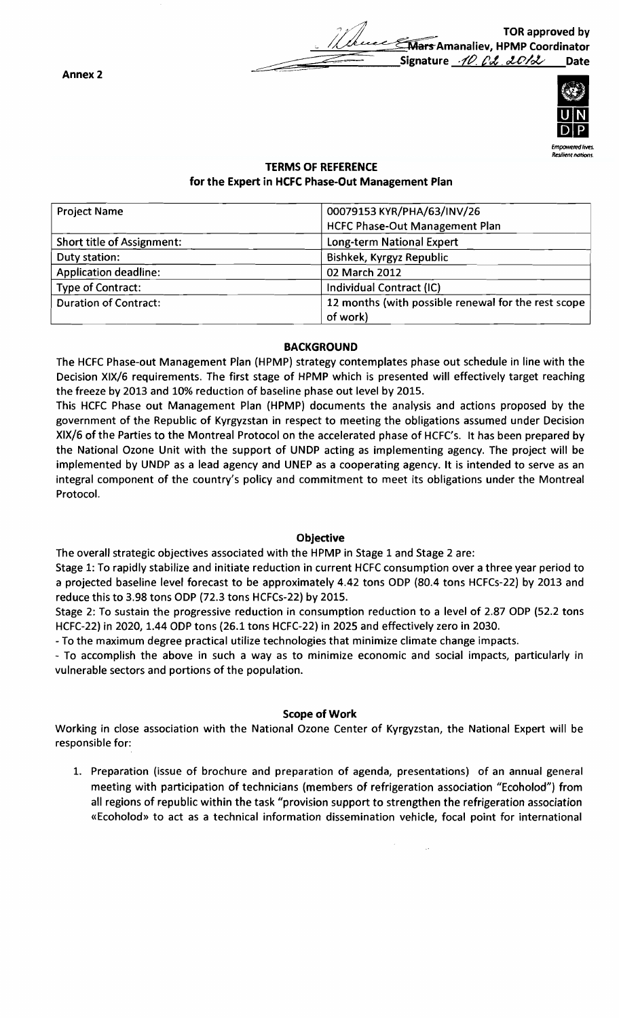Date TOR approved by ~- Tars Amanaliev, HPMP Coordinator Signature 10. Od 2012



Resthent nations

# **TERMS OF REFERENCE** for the Expert in HCFC Phase-Out Management Plan

| <b>Project Name</b>          | 00079153 KYR/PHA/63/INV/26                          |
|------------------------------|-----------------------------------------------------|
|                              | <b>HCFC Phase-Out Management Plan</b>               |
| Short title of Assignment:   | Long-term National Expert                           |
| Duty station:                | Bishkek, Kyrgyz Republic                            |
| <b>Application deadline:</b> | 02 March 2012                                       |
| Type of Contract:            | Individual Contract (IC)                            |
| <b>Duration of Contract:</b> | 12 months (with possible renewal for the rest scope |
|                              | of work)                                            |

#### **BACKGROUND**

The HCFC Phase-out Management Plan (HPMP) strategy contemplates phase out schedule in line with the Decision XIX/6 requirements. The first stage of HPMP which is presented will effectively target reaching the freeze by 2013 and 10% reduction of baseline phase out level by 2015.

This HCFC Phase out Management Plan (HPMP) documents the analysis and actions proposed by the government of the Republic of Kyrgyzstan in respect to meeting the obligations assumed under Decision XIX/6 of the Parties to the Montreal Protocol on the accelerated phase of HCFC's. It has been prepared by the National Ozone Unit with the support of UNDP acting as implementing agency. The project will be implemented by UNOP as a lead agency and UNEP as a cooperating agency. It is intended to serve as an integral component of the country's policy and commitment to meet its obligations under the Montreal Protocol.

# Objective

The overall strategic objectives associated with the HPMP in Stage 1 and Stage 2 are:

Stage 1: To rapidly stabilize and initiate reduction in current HCFC consumption over a three year period to a projected baseline level forecast to be approximately 4.42 tons ODP (80.4 tons HCFCs-22) by 2013 and reduce this to 3.98 tons OOP (72.3 tons HCFCs-22) by 2015.

Stage 2: To sustain the progressive reduction in consumption reduction to a level of 2.87 ODP (52.2 tons HCFC-22) in 2020, 1.44 OOP tons (26.1 tons HCFC-22) in 2025 and effectively zero in 2030.

- To the maximum degree practical utilize technologies that minimize climate change impacts.

- To accomplish the above in such a way as to minimize economic and social impacts, particularly in vulnerable sectors and portions of the population.

#### Scope of Work

Working in close association with the National Ozone Center of Kyrgyzstan, the National Expert will be responsible for:

1. Preparation (issue of brochure and preparation of agenda, presentations) of an annual general meeting with participation of technicians (members of refrigeration association "Ecoholod") from all regions of republic within the task "provision support to strengthen the refrigeration association «Ecoholod» to act as a technical information dissemination vehicle, focal point for international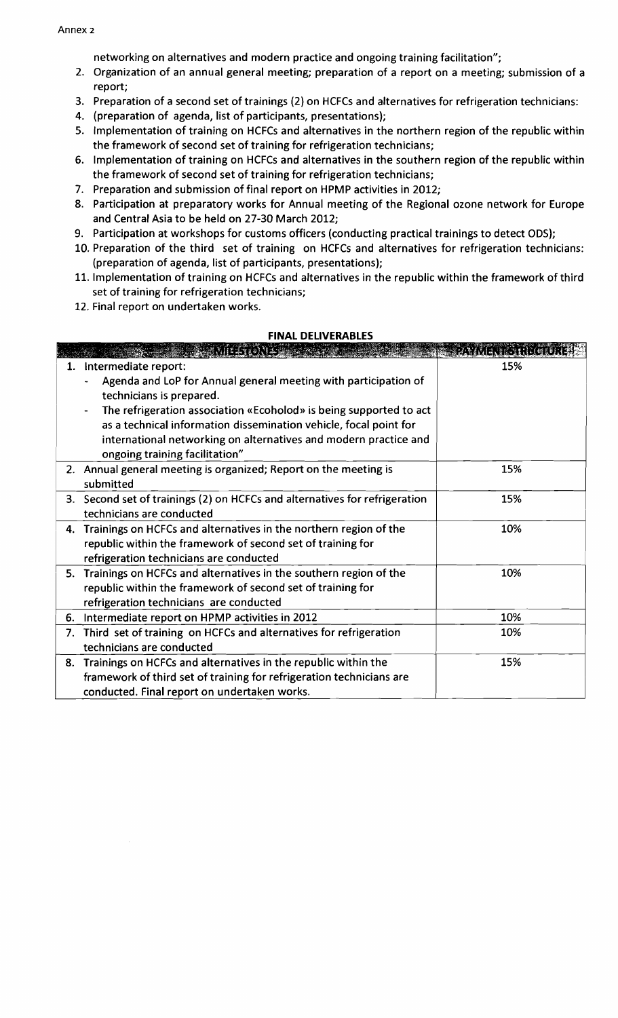networking on alternatives and modern practice and ongoing training facilitation";

- 2. Organization of an annual general meeting; preparation of a report on a meeting; submission of a report;
- 3. Preparation of a second set of trainings (2) on HCFCs and alternatives for refrigeration technicians:
- 4. (preparation of agenda, list of participants, presentations);
- 5. Implementation of training on HCFCs and alternatives in the northern region of the republic within the framework of second set of training for refrigeration technicians;
- 6. Implementation of training on HCFCs and alternatives in the southern region of the republic within the framework of second set of training for refrigeration technicians;
- 7. Preparation and submission of final report on HPMP activities in 2012;
- 8. Participation at preparatory works for Annual meeting of the Regional ozone network for Europe and Central Asia to be held on 27-30 March 2012;
- 9. Participation at workshops for customs officers (conducting practical trainings to detect ODS);
- 10. Preparation of the third set of training on HCFCs and alternatives for refrigeration technicians: (preparation of agenda, list of participants, presentations);
- 11. Implementation of training on HCFCs and alternatives in the republic within the framework of third set of training for refrigeration technicians;
- 12. Final report on undertaken works.

#### **FINAL DELIVERABLES**

|    | మహకతిని మా                                                                 | <b>PAYMENT STRUG URE:</b> |
|----|----------------------------------------------------------------------------|---------------------------|
| 1. | Intermediate report:                                                       | 15%                       |
|    | Agenda and LoP for Annual general meeting with participation of            |                           |
|    | technicians is prepared.                                                   |                           |
|    | The refrigeration association «Ecoholod» is being supported to act         |                           |
|    | as a technical information dissemination vehicle, focal point for          |                           |
|    | international networking on alternatives and modern practice and           |                           |
|    | ongoing training facilitation"                                             |                           |
|    | 2. Annual general meeting is organized; Report on the meeting is           | 15%                       |
|    | submitted                                                                  |                           |
|    | 3. Second set of trainings (2) on HCFCs and alternatives for refrigeration | 15%                       |
|    | technicians are conducted                                                  |                           |
| 4. | Trainings on HCFCs and alternatives in the northern region of the          | 10%                       |
|    | republic within the framework of second set of training for                |                           |
|    | refrigeration technicians are conducted                                    |                           |
| 5. | Trainings on HCFCs and alternatives in the southern region of the          | 10%                       |
|    | republic within the framework of second set of training for                |                           |
|    | refrigeration technicians are conducted                                    |                           |
| 6. | Intermediate report on HPMP activities in 2012                             | 10%                       |
|    | 7. Third set of training on HCFCs and alternatives for refrigeration       | 10%                       |
|    | technicians are conducted                                                  |                           |
| 8. | Trainings on HCFCs and alternatives in the republic within the             | 15%                       |
|    | framework of third set of training for refrigeration technicians are       |                           |
|    | conducted. Final report on undertaken works.                               |                           |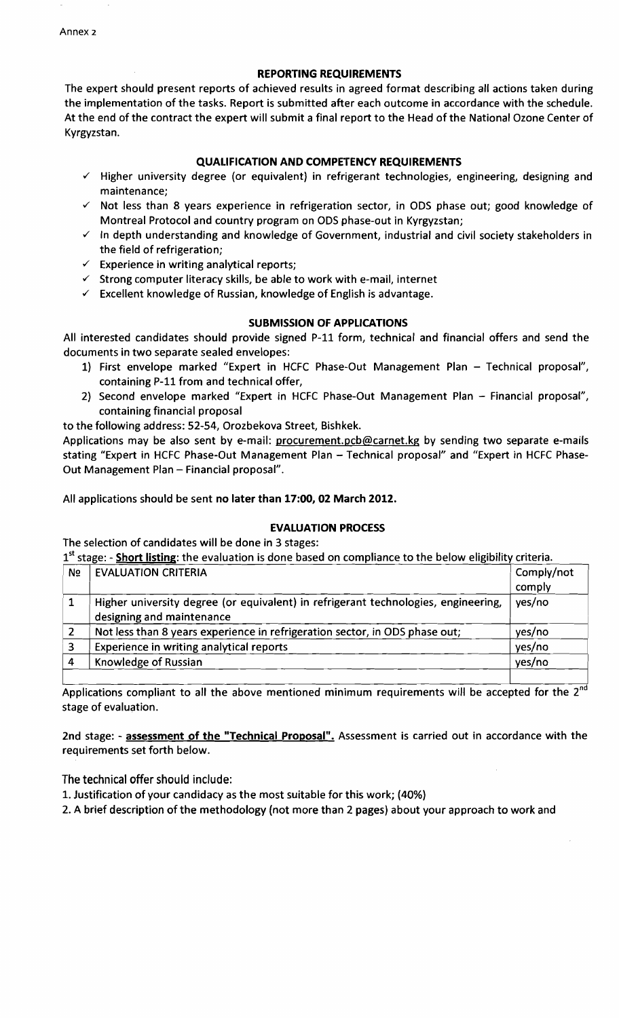REPORTING REQUIREMENTS

The expert should present reports of achieved results in agreed format describing all actions taken during the implementation of the tasks. Report is submitted after each outcome in accordance with the schedule. At the end of the contract the expert will submit a final report to the Head of the National Ozone Center of Kyrgyzstan.

## QUAI.IFICATION AND COMPETENCY REQUIREMENTS

- $\checkmark$  Higher university degree (or equivalent) in refrigerant technologies, engineering, designing and maintenance;
- $\checkmark$  Not less than 8 years experience in refrigeration sector, in ODS phase out; good knowledge of Montreal Protocol and country program on ODS phase-out in Kyrgyzstan;
- $\checkmark$  In depth understanding and knowledge of Government, industrial and civil society stakeholders in the field of refrigeration;
- $\checkmark$  Experience in writing analytical reports;
- $\checkmark$  Strong computer literacy skills, be able to work with e-mail, internet
- $\checkmark$  Excellent knowledge of Russian, knowledge of English is advantage.

#### SUBMISSION OF APPLICATIONS

All interested candidates should provide signed P-11 form, technical and financial offers and send the documents in two separate sealed envelopes:

- 1) First envelope marked "Expert in HCFC Phase-Out Management Plan Technical proposal", containing P-ll from and technical offer,
- 2) Second envelope marked "Expert in HCFC Phase-Out Management Plan Financial proposal", containing financial proposal

to the following address: 52-54, Orozbekova Street, Bishkek.

Applications may be also sent by e-mail: procurement.pcb@carnet.kg by sending two separate e-mails stating "Expert in HCFC Phase-Out Management Plan - Technical proposal" and "Expert in HCFC Phase-Out Management Plan - Financial proposal".

All applications should be sent no later than 17:00, 02 March 2012.

#### EVALUATION PROCESS

The selection of candidates will be done in 3 stages:

1<sup>st</sup> stage: - Short listing: the evaluation is done based on compliance to the below eligibility criteria.

| N <sub>o</sub> | <b>EVALUATION CRITERIA</b>                                                                                      | Comply/not |
|----------------|-----------------------------------------------------------------------------------------------------------------|------------|
|                |                                                                                                                 | comply     |
|                | Higher university degree (or equivalent) in refrigerant technologies, engineering,<br>designing and maintenance | yes/no     |
|                | Not less than 8 years experience in refrigeration sector, in ODS phase out;                                     | yes/no     |
|                | Experience in writing analytical reports                                                                        | yes/no     |
|                | Knowledge of Russian                                                                                            | yes/no     |
|                |                                                                                                                 |            |

Applications compliant to all the above mentioned minimum requirements will be accepted for the 2<sup>nd</sup> stage of evaluation.

2nd stage: - assessment of the "Technical Proposal". Assessment is carried out in accordance with the requirements set forth below.

The technical offer should include:

1. Justification of your candidacy as the most suitable for this work; (40%)

2. A brief description of the methodology (not more than 2 pages) about your approach to work and

Annex 2